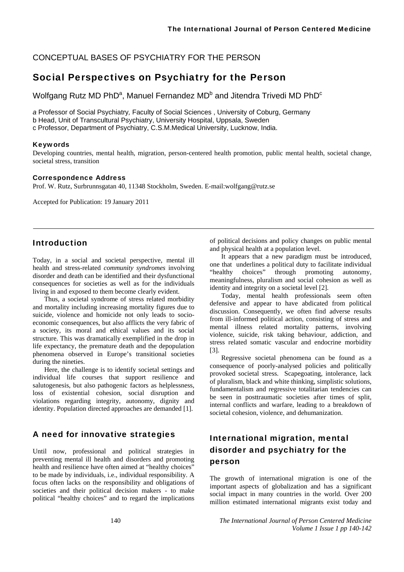### CONCEPTUAL BASES OF PSYCHIATRY FOR THE PERSON

## Social Perspectives on Psychiatry for the Person

Wolfgang Rutz MD PhD<sup>a</sup>, Manuel Fernandez MD<sup>b</sup> and Jitendra Trivedi MD PhD<sup>c</sup>

*a* Professor of Social Psychiatry*,* Faculty of Social Sciences , University of Coburg, Germany

b Head, Unit of Transcultural Psychiatry, University Hospital, Uppsala, Sweden

c Professor, Department of Psychiatry, C.S.M.Medical University, Lucknow, India.

### Keywords

Developing countries, mental health, migration, person-centered health promotion, public mental health, societal change, societal stress, transition

#### Correspondence Address

Prof. W. Rutz, Surbrunnsgatan 40, 11348 Stockholm, Sweden. E-mail:wolfgang@rutz.se

Accepted for Publication: 19 January 2011

### Introduction

Today, in a social and societal perspective, mental ill health and stress-related *community syndromes* involving disorder and death can be identified and their dysfunctional consequences for societies as well as for the individuals living in and exposed to them become clearly evident.

Thus, a societal syndrome of stress related morbidity and mortality including increasing mortality figures due to suicide, violence and homicide not only leads to socioeconomic consequences, but also afflicts the very fabric of a society, its moral and ethical values and its social structure. This was dramatically exemplified in the drop in life expectancy, the premature death and the depopulation phenomena observed in Europe's transitional societies during the nineties.

Here, the challenge is to identify societal settings and individual life courses that support resilience and salutogenesis, but also pathogenic factors as helplessness, loss of existential cohesion, social disruption and violations regarding integrity, autonomy, dignity and identity. Population directed approaches are demanded [1].

## A need for innovative strategies

Until now, professional and political strategies in preventing mental ill health and disorders and promoting health and resilience have often aimed at "healthy choices" to be made by individuals, i.e., individual responsibility. A focus often lacks on the responsibility and obligations of societies and their political decision makers - to make political "healthy choices" and to regard the implications

of political decisions and policy changes on public mental and physical health at a population level.

It appears that a new paradigm must be introduced, one that underlines a political duty to facilitate individual "healthy choices" through promoting autonomy, meaningfulness, pluralism and social cohesion as well as identity and integrity on a societal level [2].

Today, mental health professionals seem often defensive and appear to have abdicated from political discussion. Consequently, we often find adverse results from ill-informed political action, consisting of stress and mental illness related mortality patterns, involving violence, suicide, risk taking behaviour, addiction, and stress related somatic vascular and endocrine morbidity [3].

Regressive societal phenomena can be found as a consequence of poorly-analysed policies and politically provoked societal stress. Scapegoating, intolerance, lack of pluralism, black and white thinking, simplistic solutions, fundamentalism and regressive totalitarian tendencies can be seen in posttraumatic societies after times of split, internal conflicts and warfare, leading to a breakdown of societal cohesion, violence, and dehumanization.

# International migration, mental disorder and psychiatry for the person

The growth of international migration is one of the important aspects of globalization and has a significant social impact in many countries in the world. Over 200 million estimated international migrants exist today and

140 *The International Journal of Person Centered Medicine Volume 1 Issue 1 pp 140-142*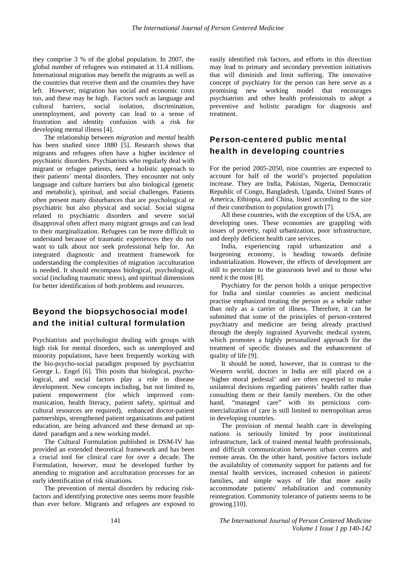they comprise 3 % of the global population. In 2007, the global number of refugees was estimated at 11.4 millions. International migration may benefit the migrants as well as the countries that receive them and the countries they have left. However, migration has social and economic costs too, and these may be high. Factors such as language and cultural barriers, social isolation, discrimination, unemployment, and poverty can lead to a sense of frustration and identity confusion with a risk for developing mental illness [4].

The relationship between *migration* and *mental* health has been studied since 1880 [5]. Research shows that migrants and refugees often have a higher incidence of psychiatric disorders. Psychiatrists who regularly deal with migrant or refugee patients, need a holistic approach to their patients' mental disorders. They encounter not only language and culture barriers but also biological (genetic and metabolic), spiritual, and social challenges. Patients often present many disturbances that are psychological or psychiatric but also physical and social. Social stigma related to psychiatric disorders and severe social disapproval often affect many migrant groups and can lead to their marginalization. Refugees can be more difficult to understand because of traumatic experiences they do not want to talk about nor seek professional help for. An integrated diagnostic and treatment framework for understanding the complexities of migration /acculturation is needed. It should encompass biological, psychological, social (including traumatic stress), and spiritual dimensions for better identification of both problems and resources.

# Beyond the biopsychosocial model and the initial cultural formulation

Psychiatrists and psychologist dealing with groups with high risk for mental disorders, such as unemployed and minority populations, have been frequently working with the bio-psycho-social paradigm proposed by psychiatrist George L. Engel [6]. This posits that biological, psychological, and social factors play a role in disease development. New concepts including, but not limited to, patient empowerment (for which improved communication, health literacy, patient safety, spiritual and cultural resources are required), enhanced doctor-patient partnerships, strengthened patient organisations and patient education, are being advanced and these demand an updated paradigm and a new working model.

The Cultural Formulation published in DSM-IV has provided an extended theoretical framework and has been a crucial tool for clinical care for over a decade. The Formulation, however, must be developed further by attending to migration and acculturation processes for an early identification of risk situations.

The prevention of mental disorders by reducing riskfactors and identifying protective ones seems more feasible than ever before. Migrants and refugees are exposed to easily identified risk factors, and efforts in this direction may lead to primary and secondary prevention initiatives that will diminish and limit suffering. The innovative concept of psychiatry for the person can here serve as a promising new working model that encourages psychiatrists and other health professionals to adopt a preventive and holistic paradigm for diagnosis and treatment.

# Person-centered public mental health in developing countries

For the period 2005-2050, nine countries are expected to account for half of the world's projected population increase. They are India, Pakistan, Nigeria, Democratic Republic of Congo, Bangladesh, Uganda, United States of America, Ethiopia, and China, listed according to the size of their contribution to population growth [7].

All these countries, with the exception of the USA, are developing ones. These economies are grappling with issues of poverty, rapid urbanization, poor infrastructure, and deeply deficient health care services.

India, experiencing rapid urbanization and a burgeoning economy, is heading towards definite industrialization. However, the effects of development are still to percolate to the grassroots level and to those who need it the most [8].

Psychiatry for the person holds a unique perspective for India and similar countries as ancient medicinal practise emphasized treating the person as a whole rather than only as a carrier of illness. Therefore, it can be submitted that some of the principles of person-centered psychiatry and medicine are being already practised through the deeply ingrained Ayurvedic medical system, which promotes a highly personalized approach for the treatment of specific diseases and the enhancement of quality of life [9].

It should be noted, however, that in contrast to the Western world, doctors in India are still placed on a 'higher moral pedestal' and are often expected to make unilateral decisions regarding patients' health rather than consulting them or their family members. On the other hand, "managed care" with its pernicious commercialization of care is still limited to metropolitan areas in developing countries.

The provision of mental health care in developing nations is seriously limited by poor institutional infrastructure, lack of trained mental health professionals, and difficult communication between urban centres and remote areas. On the other hand, positive factors include the availability of community support for patients and for mental health services, increased cohesion in patients' families, and simple ways of life that more easily accommodate patients' rehabilitation and community reintegration. Community tolerance of patients seems to be growing [10].

141 *The International Journal of Person Centered Medicine Volume 1 Issue 1 pp 140-142*